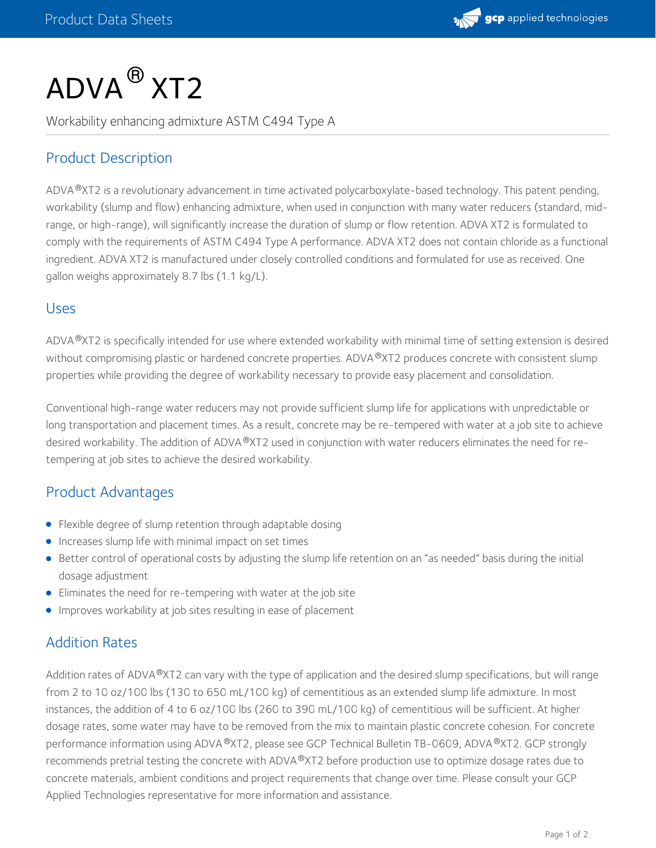

# $\mathsf{ADVA}^{\, \mathsf{\scriptsize{\text{B}}}}$  XT2

Workability enhancing admixture ASTM C494 Type A

# Product Description

ADVA®XT2 is a revolutionary advancement in time activated polycarboxylate-based technology. This patent pending, workability (slump and flow) enhancing admixture, when used in conjunction with many water reducers (standard, midrange, or high-range), will significantly increase the duration of slump or flow retention. ADVA XT2 is formulated to comply with the requirements of ASTM C494 Type A performance. ADVA XT2 does not contain chloride as a functional ingredient. ADVA XT2 is manufactured under closely controlled conditions and formulated for use as received. One gallon weighs approximately 8.7 lbs (1.1 kg/L).

#### Uses

ADVA®XT2 is specifically intended for use where extended workability with minimal time of setting extension is desired without compromising plastic or hardened concrete properties. ADVA®XT2 produces concrete with consistent slump properties while providing the degree of workability necessary to provide easy placement and consolidation.

Conventional high-range water reducers may not provide sufficient slump life for applications with unpredictable or long transportation and placement times. As a result, concrete may be re-tempered with water at a job site to achieve desired workability. The addition of ADVA®XT2 used in conjunction with water reducers eliminates the need for retempering at job sites to achieve the desired workability.

## Product Advantages

- Flexible degree of slump retention through adaptable dosing
- **Increases slump life with minimal impact on set times**
- Better control of operational costs by adjusting the slump life retention on an "as needed" basis during the initial dosage adjustment
- Eliminates the need for re-tempering with water at the job site
- Improves workability at job sites resulting in ease of placement

## Addition Rates

Addition rates of ADVA®XT2 can vary with the type of application and the desired slump specifications, but will range from 2 to 10 oz/100 lbs (130 to 650 mL/100 kg) of cementitious as an extended slump life admixture. In most instances, the addition of 4 to 6 oz/100 lbs (260 to 390 mL/100 kg) of cementitious will be sufficient. At higher dosage rates, some water may have to be removed from the mix to maintain plastic concrete cohesion. For concrete performance information using ADVA®XT2, please see GCP Technical Bulletin TB-0609, ADVA®XT2. GCP strongly recommends pretrial testing the concrete with ADVA®XT2 before production use to optimize dosage rates due to concrete materials, ambient conditions and project requirements that change over time. Please consult your GCP Applied Technologies representative for more information and assistance.